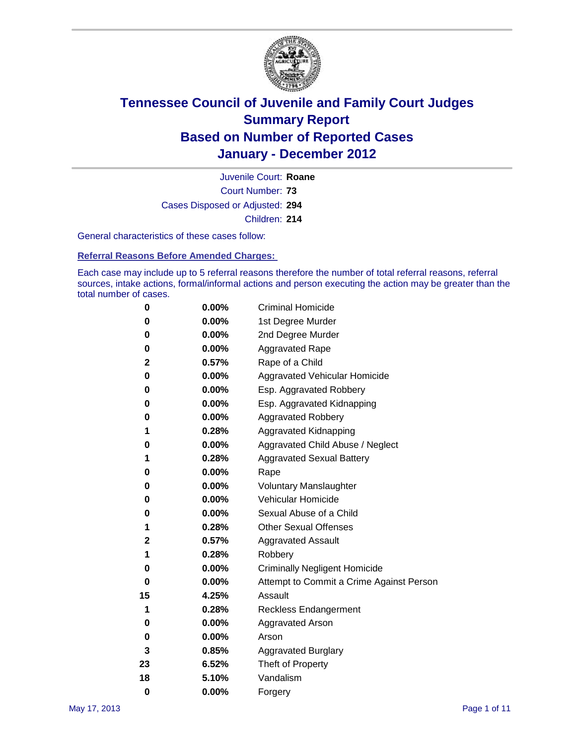

Court Number: **73** Juvenile Court: **Roane** Cases Disposed or Adjusted: **294** Children: **214**

General characteristics of these cases follow:

**Referral Reasons Before Amended Charges:** 

Each case may include up to 5 referral reasons therefore the number of total referral reasons, referral sources, intake actions, formal/informal actions and person executing the action may be greater than the total number of cases.

| 0  | 0.00%    | <b>Criminal Homicide</b>                 |
|----|----------|------------------------------------------|
| 0  | 0.00%    | 1st Degree Murder                        |
| 0  | 0.00%    | 2nd Degree Murder                        |
| 0  | 0.00%    | <b>Aggravated Rape</b>                   |
| 2  | 0.57%    | Rape of a Child                          |
| 0  | 0.00%    | Aggravated Vehicular Homicide            |
| 0  | 0.00%    | Esp. Aggravated Robbery                  |
| 0  | 0.00%    | Esp. Aggravated Kidnapping               |
| 0  | 0.00%    | <b>Aggravated Robbery</b>                |
| 1  | 0.28%    | Aggravated Kidnapping                    |
| 0  | 0.00%    | Aggravated Child Abuse / Neglect         |
| 1  | 0.28%    | <b>Aggravated Sexual Battery</b>         |
| 0  | 0.00%    | Rape                                     |
| 0  | $0.00\%$ | <b>Voluntary Manslaughter</b>            |
| 0  | 0.00%    | Vehicular Homicide                       |
| 0  | 0.00%    | Sexual Abuse of a Child                  |
| 1  | 0.28%    | <b>Other Sexual Offenses</b>             |
| 2  | 0.57%    | <b>Aggravated Assault</b>                |
| 1  | 0.28%    | Robbery                                  |
| 0  | 0.00%    | <b>Criminally Negligent Homicide</b>     |
| 0  | 0.00%    | Attempt to Commit a Crime Against Person |
| 15 | 4.25%    | Assault                                  |
| 1  | 0.28%    | <b>Reckless Endangerment</b>             |
| 0  | 0.00%    | <b>Aggravated Arson</b>                  |
| 0  | 0.00%    | Arson                                    |
| 3  | 0.85%    | <b>Aggravated Burglary</b>               |
| 23 | 6.52%    | Theft of Property                        |
| 18 | 5.10%    | Vandalism                                |
| 0  | 0.00%    | Forgery                                  |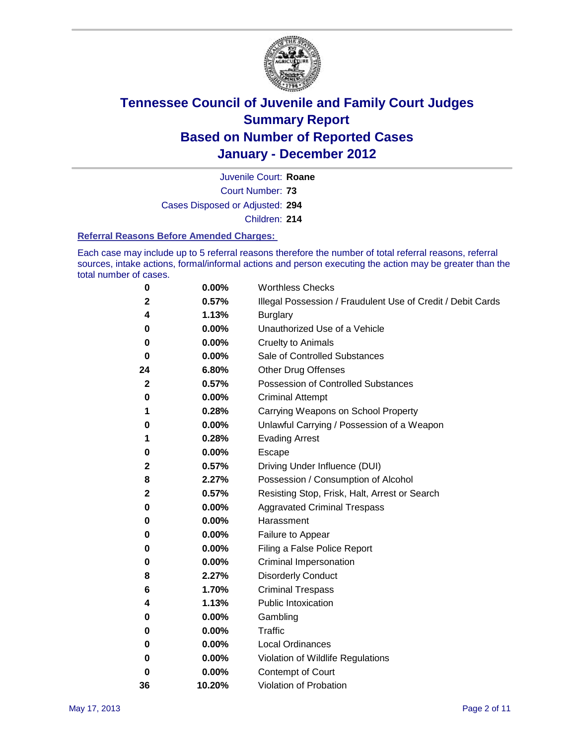

Court Number: **73** Juvenile Court: **Roane** Cases Disposed or Adjusted: **294** Children: **214**

#### **Referral Reasons Before Amended Charges:**

Each case may include up to 5 referral reasons therefore the number of total referral reasons, referral sources, intake actions, formal/informal actions and person executing the action may be greater than the total number of cases.

| 0            | 0.00%    | <b>Worthless Checks</b>                                     |
|--------------|----------|-------------------------------------------------------------|
| $\mathbf{2}$ | 0.57%    | Illegal Possession / Fraudulent Use of Credit / Debit Cards |
| 4            | 1.13%    | <b>Burglary</b>                                             |
| 0            | 0.00%    | Unauthorized Use of a Vehicle                               |
| 0            | $0.00\%$ | <b>Cruelty to Animals</b>                                   |
| 0            | 0.00%    | Sale of Controlled Substances                               |
| 24           | 6.80%    | <b>Other Drug Offenses</b>                                  |
| $\mathbf{2}$ | 0.57%    | <b>Possession of Controlled Substances</b>                  |
| 0            | 0.00%    | <b>Criminal Attempt</b>                                     |
| 1            | 0.28%    | Carrying Weapons on School Property                         |
| 0            | 0.00%    | Unlawful Carrying / Possession of a Weapon                  |
| 1            | 0.28%    | <b>Evading Arrest</b>                                       |
| 0            | $0.00\%$ | Escape                                                      |
| 2            | 0.57%    | Driving Under Influence (DUI)                               |
| 8            | 2.27%    | Possession / Consumption of Alcohol                         |
| 2            | 0.57%    | Resisting Stop, Frisk, Halt, Arrest or Search               |
| 0            | $0.00\%$ | <b>Aggravated Criminal Trespass</b>                         |
| 0            | $0.00\%$ | Harassment                                                  |
| 0            | 0.00%    | Failure to Appear                                           |
| 0            | 0.00%    | Filing a False Police Report                                |
| 0            | 0.00%    | Criminal Impersonation                                      |
| 8            | 2.27%    | <b>Disorderly Conduct</b>                                   |
| 6            | 1.70%    | <b>Criminal Trespass</b>                                    |
| 4            | 1.13%    | <b>Public Intoxication</b>                                  |
| 0            | 0.00%    | Gambling                                                    |
| 0            | 0.00%    | Traffic                                                     |
| 0            | $0.00\%$ | <b>Local Ordinances</b>                                     |
| 0            | 0.00%    | Violation of Wildlife Regulations                           |
| 0            | $0.00\%$ | Contempt of Court                                           |
| 36           | 10.20%   | Violation of Probation                                      |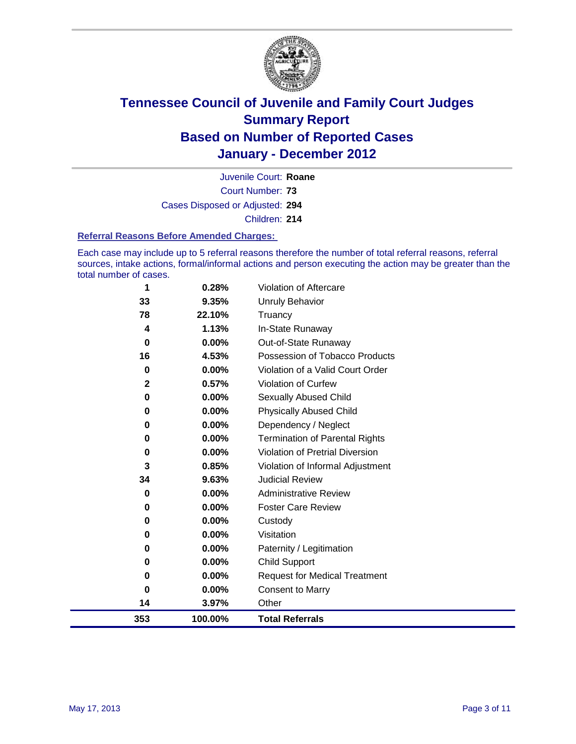

Court Number: **73** Juvenile Court: **Roane** Cases Disposed or Adjusted: **294** Children: **214**

#### **Referral Reasons Before Amended Charges:**

Each case may include up to 5 referral reasons therefore the number of total referral reasons, referral sources, intake actions, formal/informal actions and person executing the action may be greater than the total number of cases.

| 353          | 100.00%  | <b>Total Referrals</b>                 |
|--------------|----------|----------------------------------------|
| 14           | 3.97%    | Other                                  |
| $\bf{0}$     | 0.00%    | <b>Consent to Marry</b>                |
| 0            | 0.00%    | <b>Request for Medical Treatment</b>   |
| 0            | 0.00%    | <b>Child Support</b>                   |
| 0            | 0.00%    | Paternity / Legitimation               |
| 0            | 0.00%    | Visitation                             |
| 0            | 0.00%    | Custody                                |
| 0            | 0.00%    | <b>Foster Care Review</b>              |
| 0            | $0.00\%$ | <b>Administrative Review</b>           |
| 34           | 9.63%    | <b>Judicial Review</b>                 |
| 3            | 0.85%    | Violation of Informal Adjustment       |
| 0            | 0.00%    | <b>Violation of Pretrial Diversion</b> |
| 0            | 0.00%    | <b>Termination of Parental Rights</b>  |
| 0            | 0.00%    | Dependency / Neglect                   |
| 0            | 0.00%    | <b>Physically Abused Child</b>         |
| 0            | 0.00%    | Sexually Abused Child                  |
| $\mathbf{2}$ | 0.57%    | <b>Violation of Curfew</b>             |
| 0            | $0.00\%$ | Violation of a Valid Court Order       |
| 16           | 4.53%    | Possession of Tobacco Products         |
| 0            | $0.00\%$ | Out-of-State Runaway                   |
| 4            | 1.13%    | In-State Runaway                       |
| 78           | 22.10%   | <b>Unruly Behavior</b><br>Truancy      |
| 33           | 9.35%    |                                        |
|              | 0.28%    | <b>Violation of Aftercare</b>          |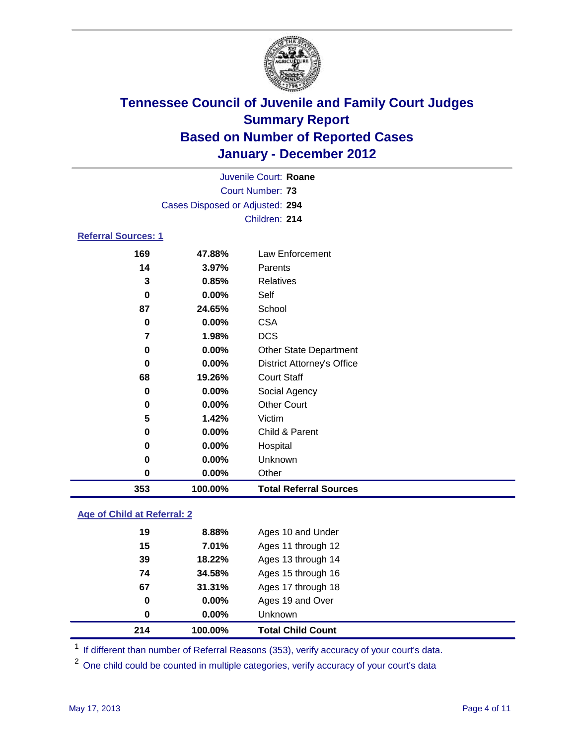

|                                                 | Juvenile Court: Roane           |                               |  |  |  |
|-------------------------------------------------|---------------------------------|-------------------------------|--|--|--|
|                                                 | Court Number: 73                |                               |  |  |  |
|                                                 | Cases Disposed or Adjusted: 294 |                               |  |  |  |
|                                                 |                                 | Children: 214                 |  |  |  |
| <b>Referral Sources: 1</b>                      |                                 |                               |  |  |  |
| 169                                             | 47.88%                          | Law Enforcement               |  |  |  |
| 14                                              | 3.97%                           | Parents                       |  |  |  |
| 3                                               | 0.85%                           | <b>Relatives</b>              |  |  |  |
| 0                                               | $0.00\%$                        | Self                          |  |  |  |
| 87                                              | 24.65%                          | School                        |  |  |  |
| 0                                               | 0.00%                           | <b>CSA</b>                    |  |  |  |
| 7                                               | 1.98%                           | <b>DCS</b>                    |  |  |  |
| 0                                               | 0.00%                           | <b>Other State Department</b> |  |  |  |
| 0.00%<br>0<br><b>District Attorney's Office</b> |                                 |                               |  |  |  |
| 68                                              | 19.26%                          | <b>Court Staff</b>            |  |  |  |
| 0                                               | 0.00%                           | Social Agency                 |  |  |  |
| 0                                               | $0.00\%$                        | <b>Other Court</b>            |  |  |  |
| 5                                               | 1.42%                           | Victim                        |  |  |  |
| 0                                               | $0.00\%$                        | Child & Parent                |  |  |  |
| 0                                               | $0.00\%$                        | Hospital                      |  |  |  |
| 0                                               | $0.00\%$                        | Unknown                       |  |  |  |
| 0                                               | 0.00%                           | Other                         |  |  |  |
| 353                                             | 100.00%                         | <b>Total Referral Sources</b> |  |  |  |

### **Age of Child at Referral: 2**

| 0  | $0.00\%$ | <b>Unknown</b>     |
|----|----------|--------------------|
| 0  | 0.00%    | Ages 19 and Over   |
| 67 | 31.31%   | Ages 17 through 18 |
| 74 | 34.58%   | Ages 15 through 16 |
| 39 | 18.22%   | Ages 13 through 14 |
| 15 | 7.01%    | Ages 11 through 12 |
| 19 | 8.88%    | Ages 10 and Under  |
|    |          |                    |

<sup>1</sup> If different than number of Referral Reasons (353), verify accuracy of your court's data.

<sup>2</sup> One child could be counted in multiple categories, verify accuracy of your court's data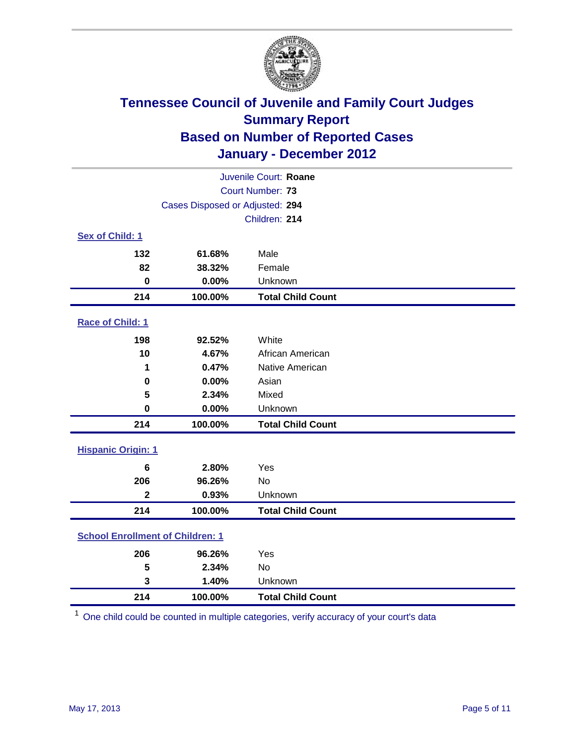

|                                         | Juvenile Court: Roane           |                          |  |  |
|-----------------------------------------|---------------------------------|--------------------------|--|--|
|                                         | Court Number: 73                |                          |  |  |
|                                         | Cases Disposed or Adjusted: 294 |                          |  |  |
|                                         |                                 | Children: 214            |  |  |
| Sex of Child: 1                         |                                 |                          |  |  |
| 132                                     | 61.68%                          | Male                     |  |  |
| 82                                      | 38.32%                          | Female                   |  |  |
| $\mathbf 0$                             | 0.00%                           | Unknown                  |  |  |
| 214                                     | 100.00%                         | <b>Total Child Count</b> |  |  |
| Race of Child: 1                        |                                 |                          |  |  |
| 198                                     | 92.52%                          | White                    |  |  |
| 10                                      | 4.67%                           | African American         |  |  |
| 1                                       | 0.47%                           | Native American          |  |  |
| 0.00%<br>$\mathbf 0$                    |                                 | Asian                    |  |  |
| 5                                       | 2.34%                           | Mixed                    |  |  |
| $\pmb{0}$                               | 0.00%                           | Unknown                  |  |  |
| 214                                     | 100.00%                         | <b>Total Child Count</b> |  |  |
| <b>Hispanic Origin: 1</b>               |                                 |                          |  |  |
| 6                                       | 2.80%                           | Yes                      |  |  |
| 206                                     | 96.26%                          | <b>No</b>                |  |  |
| $\overline{\mathbf{2}}$                 | 0.93%                           | Unknown                  |  |  |
| 214                                     | 100.00%                         | <b>Total Child Count</b> |  |  |
| <b>School Enrollment of Children: 1</b> |                                 |                          |  |  |
| 206                                     | 96.26%                          | Yes                      |  |  |
| 5                                       | 2.34%                           | No                       |  |  |
| 3                                       | 1.40%                           | Unknown                  |  |  |
| 214                                     | 100.00%                         | <b>Total Child Count</b> |  |  |

One child could be counted in multiple categories, verify accuracy of your court's data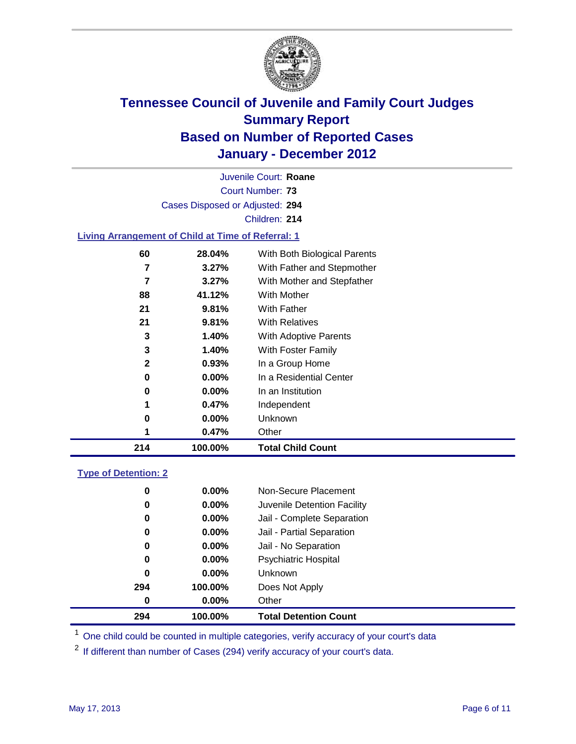

Court Number: **73** Juvenile Court: **Roane** Cases Disposed or Adjusted: **294** Children: **214 Living Arrangement of Child at Time of Referral: 1**

| 214          | 100.00%  | <b>Total Child Count</b>     |
|--------------|----------|------------------------------|
|              | 0.47%    | Other                        |
| 0            | $0.00\%$ | Unknown                      |
|              | 0.47%    | Independent                  |
| 0            | $0.00\%$ | In an Institution            |
| 0            | $0.00\%$ | In a Residential Center      |
| $\mathbf{2}$ | 0.93%    | In a Group Home              |
| 3            | 1.40%    | With Foster Family           |
| 3            | 1.40%    | <b>With Adoptive Parents</b> |
| 21           | 9.81%    | <b>With Relatives</b>        |
| 21           | 9.81%    | With Father                  |
| 88           | 41.12%   | <b>With Mother</b>           |
| 7            | $3.27\%$ | With Mother and Stepfather   |
| 7            | 3.27%    | With Father and Stepmother   |
| 60           | 28.04%   | With Both Biological Parents |
|              |          |                              |

### **Type of Detention: 2**

| 294 | 100.00%  | <b>Total Detention Count</b> |  |
|-----|----------|------------------------------|--|
| 0   | 0.00%    | Other                        |  |
| 294 | 100.00%  | Does Not Apply               |  |
| 0   | $0.00\%$ | <b>Unknown</b>               |  |
| 0   | $0.00\%$ | <b>Psychiatric Hospital</b>  |  |
| 0   | 0.00%    | Jail - No Separation         |  |
| 0   | $0.00\%$ | Jail - Partial Separation    |  |
| 0   | $0.00\%$ | Jail - Complete Separation   |  |
| 0   | 0.00%    | Juvenile Detention Facility  |  |
| 0   | $0.00\%$ | Non-Secure Placement         |  |
|     |          |                              |  |

<sup>1</sup> One child could be counted in multiple categories, verify accuracy of your court's data

<sup>2</sup> If different than number of Cases (294) verify accuracy of your court's data.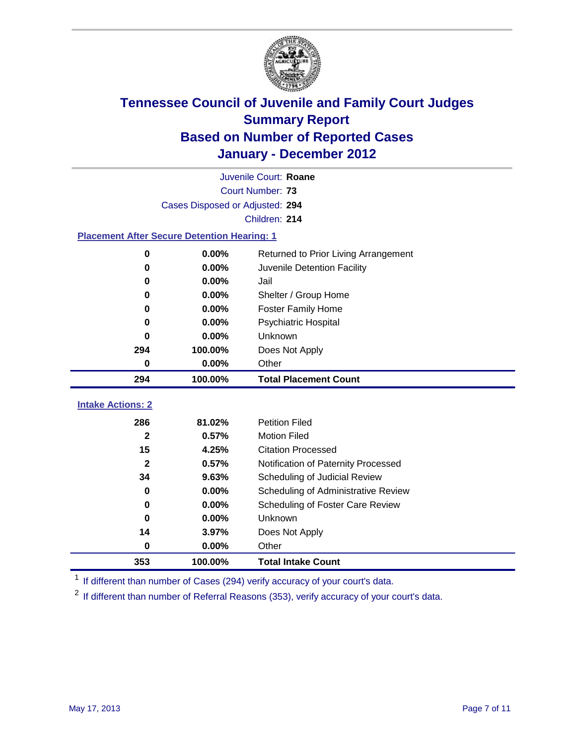

|                                                    | Juvenile Court: Roane           |                                      |  |  |  |
|----------------------------------------------------|---------------------------------|--------------------------------------|--|--|--|
|                                                    | Court Number: 73                |                                      |  |  |  |
|                                                    | Cases Disposed or Adjusted: 294 |                                      |  |  |  |
|                                                    |                                 | Children: 214                        |  |  |  |
| <b>Placement After Secure Detention Hearing: 1</b> |                                 |                                      |  |  |  |
| $\mathbf 0$                                        | 0.00%                           | Returned to Prior Living Arrangement |  |  |  |
| $\bf{0}$                                           | 0.00%                           | Juvenile Detention Facility          |  |  |  |
| 0                                                  | 0.00%                           | Jail                                 |  |  |  |
| $\bf{0}$                                           | 0.00%                           | Shelter / Group Home                 |  |  |  |
| 0                                                  | 0.00%                           | <b>Foster Family Home</b>            |  |  |  |
| 0                                                  | 0.00%                           | Psychiatric Hospital                 |  |  |  |
| U                                                  | 0.00%                           | Unknown                              |  |  |  |
| 294                                                | 100.00%                         | Does Not Apply                       |  |  |  |
| 0.00%<br>Other<br>$\mathbf 0$                      |                                 |                                      |  |  |  |
| 294                                                | 100.00%                         | <b>Total Placement Count</b>         |  |  |  |
| <b>Intake Actions: 2</b>                           |                                 |                                      |  |  |  |
| 286                                                | 81.02%                          | <b>Petition Filed</b>                |  |  |  |
| $\mathbf{2}$                                       | 0.57%                           | <b>Motion Filed</b>                  |  |  |  |
| 15                                                 | 4.25%                           | <b>Citation Processed</b>            |  |  |  |
| $\mathbf{2}$                                       | 0.57%                           | Notification of Paternity Processed  |  |  |  |
| 34                                                 | 9.63%                           | Scheduling of Judicial Review        |  |  |  |
| $\bf{0}$                                           | 0.00%                           | Scheduling of Administrative Review  |  |  |  |
| 0                                                  | 0.00%                           | Scheduling of Foster Care Review     |  |  |  |
| $\bf{0}$                                           |                                 | Unknown                              |  |  |  |
|                                                    | 0.00%                           |                                      |  |  |  |
| 14                                                 | 3.97%                           | Does Not Apply                       |  |  |  |
| $\bf{0}$                                           | 0.00%                           | Other                                |  |  |  |

<sup>1</sup> If different than number of Cases (294) verify accuracy of your court's data.

<sup>2</sup> If different than number of Referral Reasons (353), verify accuracy of your court's data.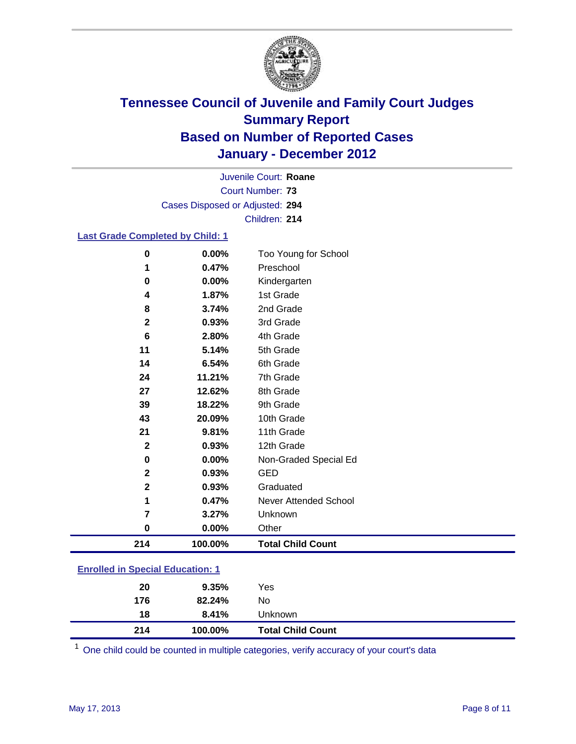

Court Number: **73** Juvenile Court: **Roane** Cases Disposed or Adjusted: **294** Children: **214**

### **Last Grade Completed by Child: 1**

| 214          | 100.00% | <b>Total Child Count</b> |
|--------------|---------|--------------------------|
| 0            | 0.00%   | Other                    |
| 7            | 3.27%   | Unknown                  |
| 1            | 0.47%   | Never Attended School    |
| $\mathbf 2$  | 0.93%   | Graduated                |
| $\mathbf{2}$ | 0.93%   | <b>GED</b>               |
| 0            | 0.00%   | Non-Graded Special Ed    |
| $\mathbf 2$  | 0.93%   | 12th Grade               |
| 21           | 9.81%   | 11th Grade               |
| 43           | 20.09%  | 10th Grade               |
| 39           | 18.22%  | 9th Grade                |
| 27           | 12.62%  | 8th Grade                |
| 24           | 11.21%  | 7th Grade                |
| 14           | 6.54%   | 6th Grade                |
| 11           | 5.14%   | 5th Grade                |
| 6            | 2.80%   | 4th Grade                |
| 2            | 0.93%   | 3rd Grade                |
| 8            | 3.74%   | 2nd Grade                |
| 4            | 1.87%   | 1st Grade                |
| 0            | 0.00%   | Kindergarten             |
| 1            | 0.47%   | Preschool                |
| $\bf{0}$     | 0.00%   | Too Young for School     |

| <b>Enrolled in Special Education: 1</b> |          |     |  |  |
|-----------------------------------------|----------|-----|--|--|
| 20                                      | $9.35\%$ | Yes |  |  |
| 176                                     | 82.24%   | N٥  |  |  |

 **8.41%** Unknown **100.00% Total Child Count**

One child could be counted in multiple categories, verify accuracy of your court's data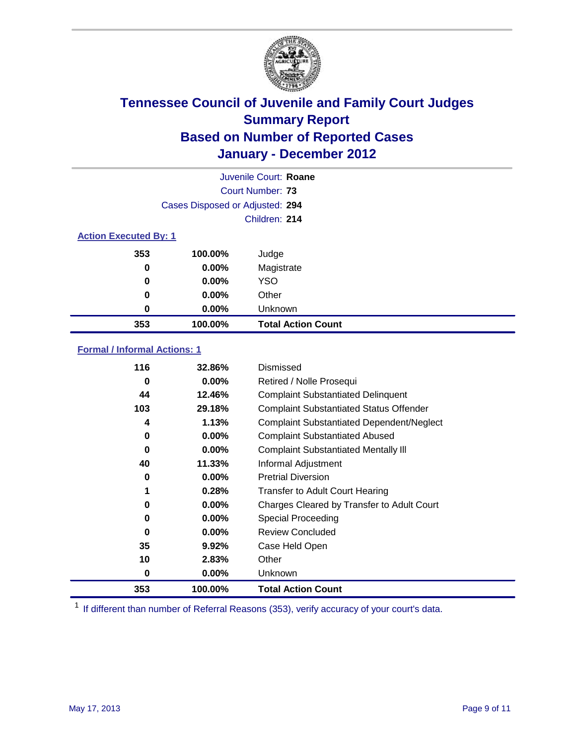

|                              | Juvenile Court: Roane           |                           |  |  |  |
|------------------------------|---------------------------------|---------------------------|--|--|--|
|                              | Court Number: 73                |                           |  |  |  |
|                              | Cases Disposed or Adjusted: 294 |                           |  |  |  |
|                              |                                 | Children: 214             |  |  |  |
| <b>Action Executed By: 1</b> |                                 |                           |  |  |  |
| 353                          | 100.00%                         | Judge                     |  |  |  |
| 0                            | $0.00\%$                        | Magistrate                |  |  |  |
| 0                            | $0.00\%$                        | <b>YSO</b>                |  |  |  |
| 0                            | $0.00\%$                        | Other                     |  |  |  |
| 0                            | 0.00%                           | Unknown                   |  |  |  |
| 353                          | 100.00%                         | <b>Total Action Count</b> |  |  |  |

### **Formal / Informal Actions: 1**

| 116 | 32.86%   | Dismissed                                        |
|-----|----------|--------------------------------------------------|
| 0   | $0.00\%$ | Retired / Nolle Prosequi                         |
| 44  | 12.46%   | <b>Complaint Substantiated Delinquent</b>        |
| 103 | 29.18%   | <b>Complaint Substantiated Status Offender</b>   |
| 4   | 1.13%    | <b>Complaint Substantiated Dependent/Neglect</b> |
| 0   | $0.00\%$ | <b>Complaint Substantiated Abused</b>            |
| 0   | $0.00\%$ | <b>Complaint Substantiated Mentally III</b>      |
| 40  | 11.33%   | Informal Adjustment                              |
| 0   | $0.00\%$ | <b>Pretrial Diversion</b>                        |
| 1   | 0.28%    | <b>Transfer to Adult Court Hearing</b>           |
| 0   | $0.00\%$ | Charges Cleared by Transfer to Adult Court       |
| 0   | $0.00\%$ | Special Proceeding                               |
| 0   | $0.00\%$ | <b>Review Concluded</b>                          |
| 35  | 9.92%    | Case Held Open                                   |
| 10  | 2.83%    | Other                                            |
| 0   | $0.00\%$ | Unknown                                          |
| 353 | 100.00%  | <b>Total Action Count</b>                        |

<sup>1</sup> If different than number of Referral Reasons (353), verify accuracy of your court's data.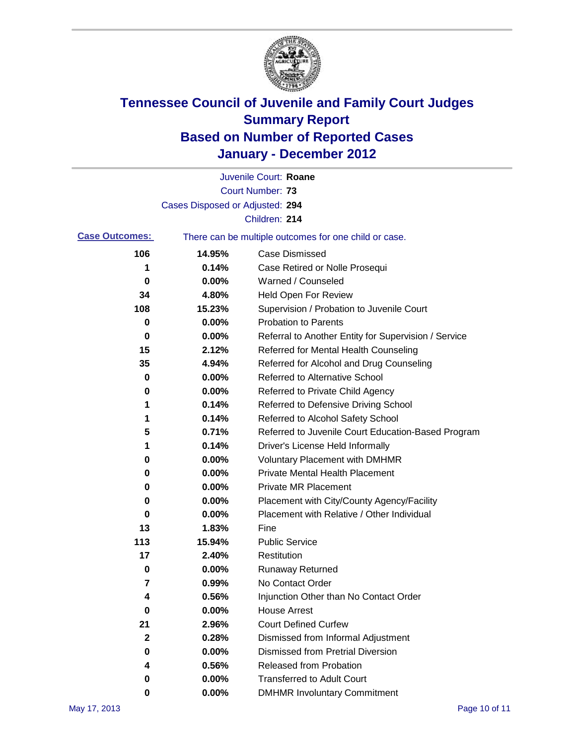

|                       |                                 | Juvenile Court: Roane                                 |
|-----------------------|---------------------------------|-------------------------------------------------------|
|                       |                                 | <b>Court Number: 73</b>                               |
|                       | Cases Disposed or Adjusted: 294 |                                                       |
|                       |                                 | Children: 214                                         |
| <b>Case Outcomes:</b> |                                 | There can be multiple outcomes for one child or case. |
| 106                   | 14.95%                          | <b>Case Dismissed</b>                                 |
| 1                     | 0.14%                           | Case Retired or Nolle Prosequi                        |
| 0                     | 0.00%                           | Warned / Counseled                                    |
| 34                    | 4.80%                           | Held Open For Review                                  |
| 108                   | 15.23%                          | Supervision / Probation to Juvenile Court             |
| 0                     | 0.00%                           | <b>Probation to Parents</b>                           |
| 0                     | 0.00%                           | Referral to Another Entity for Supervision / Service  |
| 15                    | 2.12%                           | Referred for Mental Health Counseling                 |
| 35                    | 4.94%                           | Referred for Alcohol and Drug Counseling              |
| 0                     | 0.00%                           | <b>Referred to Alternative School</b>                 |
| 0                     | 0.00%                           | Referred to Private Child Agency                      |
| 1                     | 0.14%                           | Referred to Defensive Driving School                  |
| 1                     | 0.14%                           | Referred to Alcohol Safety School                     |
| 5                     | 0.71%                           | Referred to Juvenile Court Education-Based Program    |
| 1                     | 0.14%                           | Driver's License Held Informally                      |
| 0                     | 0.00%                           | <b>Voluntary Placement with DMHMR</b>                 |
| 0                     | 0.00%                           | Private Mental Health Placement                       |
| 0                     | 0.00%                           | <b>Private MR Placement</b>                           |
| 0                     | 0.00%                           | Placement with City/County Agency/Facility            |
| 0                     | 0.00%                           | Placement with Relative / Other Individual            |
| 13                    | 1.83%                           | Fine                                                  |
| 113                   | 15.94%                          | <b>Public Service</b>                                 |
| 17                    | 2.40%                           | Restitution                                           |
| 0                     | 0.00%                           | <b>Runaway Returned</b>                               |
| 7                     | 0.99%                           | No Contact Order                                      |
| 4                     | 0.56%                           | Injunction Other than No Contact Order                |
| 0                     | 0.00%                           | <b>House Arrest</b>                                   |
| 21                    | 2.96%                           | <b>Court Defined Curfew</b>                           |
| $\mathbf{2}$          | 0.28%                           | Dismissed from Informal Adjustment                    |
| 0                     | 0.00%                           | <b>Dismissed from Pretrial Diversion</b>              |
| 4                     | 0.56%                           | Released from Probation                               |
| 0                     | 0.00%                           | <b>Transferred to Adult Court</b>                     |
| 0                     | 0.00%                           | <b>DMHMR Involuntary Commitment</b>                   |